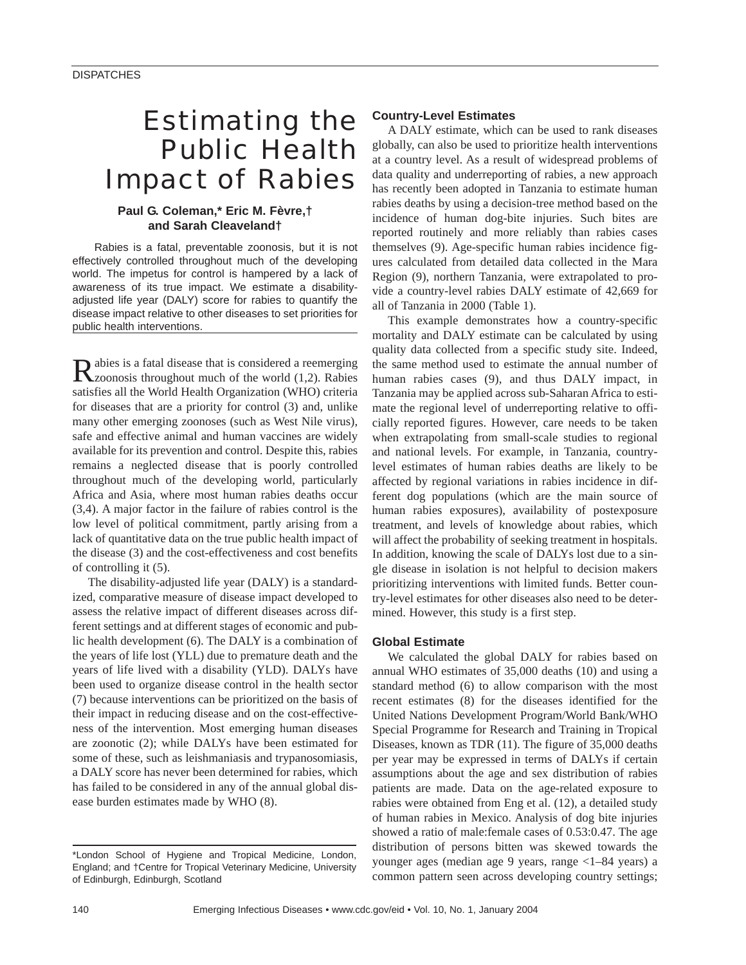# Estimating the Public Health Impact of Rabies

# **Paul G. Coleman,\* Eric M. Fèvre,† and Sarah Cleaveland†**

Rabies is a fatal, preventable zoonosis, but it is not effectively controlled throughout much of the developing world. The impetus for control is hampered by a lack of awareness of its true impact. We estimate a disabilityadjusted life year (DALY) score for rabies to quantify the disease impact relative to other diseases to set priorities for public health interventions.

Rabies is a fatal disease that is considered a reemerging<br>Zzoonosis throughout much of the world (1,2). Rabies satisfies all the World Health Organization (WHO) criteria for diseases that are a priority for control (3) and, unlike many other emerging zoonoses (such as West Nile virus), safe and effective animal and human vaccines are widely available for its prevention and control. Despite this, rabies remains a neglected disease that is poorly controlled throughout much of the developing world, particularly Africa and Asia, where most human rabies deaths occur (3,4). A major factor in the failure of rabies control is the low level of political commitment, partly arising from a lack of quantitative data on the true public health impact of the disease (3) and the cost-effectiveness and cost benefits of controlling it (5).

The disability-adjusted life year (DALY) is a standardized, comparative measure of disease impact developed to assess the relative impact of different diseases across different settings and at different stages of economic and public health development (6). The DALY is a combination of the years of life lost (YLL) due to premature death and the years of life lived with a disability (YLD). DALYs have been used to organize disease control in the health sector (7) because interventions can be prioritized on the basis of their impact in reducing disease and on the cost-effectiveness of the intervention. Most emerging human diseases are zoonotic (2); while DALYs have been estimated for some of these, such as leishmaniasis and trypanosomiasis, a DALY score has never been determined for rabies, which has failed to be considered in any of the annual global disease burden estimates made by WHO (8).

## **Country-Level Estimates**

A DALY estimate, which can be used to rank diseases globally, can also be used to prioritize health interventions at a country level. As a result of widespread problems of data quality and underreporting of rabies, a new approach has recently been adopted in Tanzania to estimate human rabies deaths by using a decision-tree method based on the incidence of human dog-bite injuries. Such bites are reported routinely and more reliably than rabies cases themselves (9). Age-specific human rabies incidence figures calculated from detailed data collected in the Mara Region (9), northern Tanzania, were extrapolated to provide a country-level rabies DALY estimate of 42,669 for all of Tanzania in 2000 (Table 1).

This example demonstrates how a country-specific mortality and DALY estimate can be calculated by using quality data collected from a specific study site. Indeed, the same method used to estimate the annual number of human rabies cases (9), and thus DALY impact, in Tanzania may be applied across sub-Saharan Africa to estimate the regional level of underreporting relative to officially reported figures. However, care needs to be taken when extrapolating from small-scale studies to regional and national levels. For example, in Tanzania, countrylevel estimates of human rabies deaths are likely to be affected by regional variations in rabies incidence in different dog populations (which are the main source of human rabies exposures), availability of postexposure treatment, and levels of knowledge about rabies, which will affect the probability of seeking treatment in hospitals. In addition, knowing the scale of DALYs lost due to a single disease in isolation is not helpful to decision makers prioritizing interventions with limited funds. Better country-level estimates for other diseases also need to be determined. However, this study is a first step.

## **Global Estimate**

We calculated the global DALY for rabies based on annual WHO estimates of 35,000 deaths (10) and using a standard method (6) to allow comparison with the most recent estimates (8) for the diseases identified for the United Nations Development Program/World Bank/WHO Special Programme for Research and Training in Tropical Diseases, known as TDR (11). The figure of 35,000 deaths per year may be expressed in terms of DALYs if certain assumptions about the age and sex distribution of rabies patients are made. Data on the age-related exposure to rabies were obtained from Eng et al. (12), a detailed study of human rabies in Mexico. Analysis of dog bite injuries showed a ratio of male:female cases of 0.53:0.47. The age distribution of persons bitten was skewed towards the younger ages (median age 9 years, range <1–84 years) a common pattern seen across developing country settings;

<sup>\*</sup>London School of Hygiene and Tropical Medicine, London, England; and †Centre for Tropical Veterinary Medicine, University of Edinburgh, Edinburgh, Scotland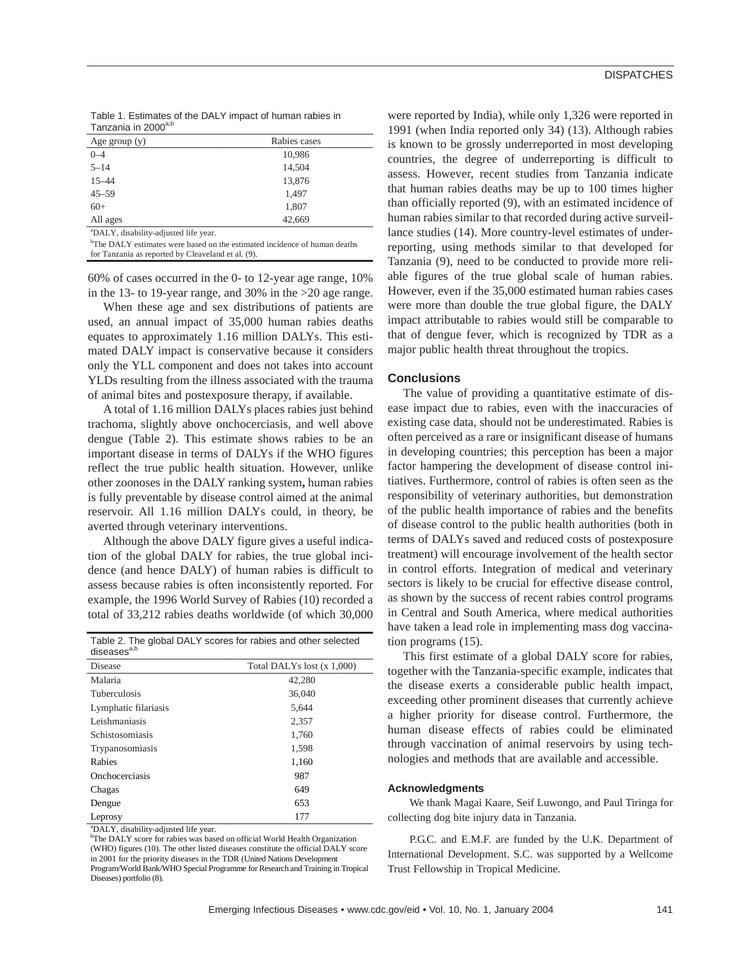|                                 | Table 1. Estimates of the DALY impact of human rabies in |
|---------------------------------|----------------------------------------------------------|
| Tanzania in 2000 <sup>a,b</sup> |                                                          |

| Age group $(y)$                                   | Rabies cases |
|---------------------------------------------------|--------------|
| $0 - 4$                                           | 10,986       |
| $5 - 14$                                          | 14,504       |
| $15 - 44$                                         | 13,876       |
| $45 - 59$                                         | 1,497        |
| $60+$                                             | 1,807        |
| All ages                                          | 42.669       |
| <sup>a</sup> DALY, disability-adjusted life year. |              |

<sup>b</sup>The DALY estimates were based on the estimated incidence of human deaths for Tanzania as reported by Cleaveland et al. (9).

60% of cases occurred in the 0- to 12-year age range, 10% in the 13- to 19-year range, and 30% in the >20 age range.

When these age and sex distributions of patients are used, an annual impact of 35,000 human rabies deaths equates to approximately 1.16 million DALYs. This estimated DALY impact is conservative because it considers only the YLL component and does not takes into account YLDs resulting from the illness associated with the trauma of animal bites and postexposure therapy, if available.

A total of 1.16 million DALYs places rabies just behind trachoma, slightly above onchocerciasis, and well above dengue (Table 2). This estimate shows rabies to be an important disease in terms of DALYs if the WHO figures reflect the true public health situation. However, unlike other zoonoses in the DALY ranking system**,** human rabies is fully preventable by disease control aimed at the animal reservoir. All 1.16 million DALYs could, in theory, be averted through veterinary interventions.

Although the above DALY figure gives a useful indication of the global DALY for rabies, the true global incidence (and hence DALY) of human rabies is difficult to assess because rabies is often inconsistently reported. For example, the 1996 World Survey of Rabies (10) recorded a total of 33,212 rabies deaths worldwide (of which 30,000

| Table 2. The global DALY scores for rabies and other selected<br>diseases <sup>a,b</sup> |                            |
|------------------------------------------------------------------------------------------|----------------------------|
| Disease                                                                                  | Total DALYs lost (x 1,000) |
| Malaria                                                                                  | 42,280                     |
| <b>Tuberculosis</b>                                                                      | 36,040                     |
| Lymphatic filariasis                                                                     | 5.644                      |
| Leishmaniasis                                                                            | 2,357                      |
| <i>Schistosomiasis</i>                                                                   | 1,760                      |
| Trypanosomiasis                                                                          | 1,598                      |
| Rabies                                                                                   | 1,160                      |
| Onchocerciasis                                                                           | 987                        |
| Chagas                                                                                   | 649                        |
| Dengue                                                                                   | 653                        |
| Leprosy                                                                                  | 177                        |

 $^{a}$ DALY, disability-adjusted life year.

<sup>b</sup>The DALY score for rabies was based on official World Health Organization (WHO) figures (10). The other listed diseases constitute the official DALY score in 2001 for the priority diseases in the TDR (United Nations Development Program/World Bank/WHO Special Programme for Research and Training in Tropical Diseases) portfolio (8).

were reported by India), while only 1,326 were reported in 1991 (when India reported only 34) (13). Although rabies is known to be grossly underreported in most developing countries, the degree of underreporting is difficult to assess. However, recent studies from Tanzania indicate that human rabies deaths may be up to 100 times higher than officially reported (9), with an estimated incidence of human rabies similar to that recorded during active surveillance studies (14). More country-level estimates of underreporting, using methods similar to that developed for Tanzania (9), need to be conducted to provide more reliable figures of the true global scale of human rabies. However, even if the 35,000 estimated human rabies cases were more than double the true global figure, the DALY impact attributable to rabies would still be comparable to that of dengue fever, which is recognized by TDR as a major public health threat throughout the tropics.

### **Conclusions**

The value of providing a quantitative estimate of disease impact due to rabies, even with the inaccuracies of existing case data, should not be underestimated. Rabies is often perceived as a rare or insignificant disease of humans in developing countries; this perception has been a major factor hampering the development of disease control initiatives. Furthermore, control of rabies is often seen as the responsibility of veterinary authorities, but demonstration of the public health importance of rabies and the benefits of disease control to the public health authorities (both in terms of DALYs saved and reduced costs of postexposure treatment) will encourage involvement of the health sector in control efforts. Integration of medical and veterinary sectors is likely to be crucial for effective disease control, as shown by the success of recent rabies control programs in Central and South America, where medical authorities have taken a lead role in implementing mass dog vaccination programs (15).

This first estimate of a global DALY score for rabies, together with the Tanzania-specific example, indicates that the disease exerts a considerable public health impact, exceeding other prominent diseases that currently achieve a higher priority for disease control. Furthermore, the human disease effects of rabies could be eliminated through vaccination of animal reservoirs by using technologies and methods that are available and accessible.

#### **Acknowledgments**

We thank Magai Kaare, Seif Luwongo, and Paul Tiringa for collecting dog bite injury data in Tanzania.

P.G.C. and E.M.F. are funded by the U.K. Department of International Development. S.C. was supported by a Wellcome Trust Fellowship in Tropical Medicine.